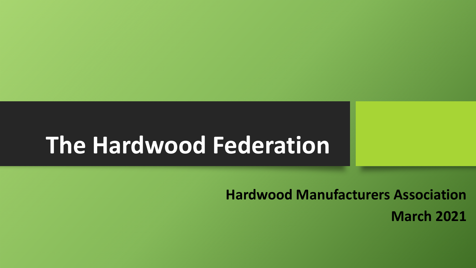# **The Hardwood Federation**

**Hardwood Manufacturers Association March 2021**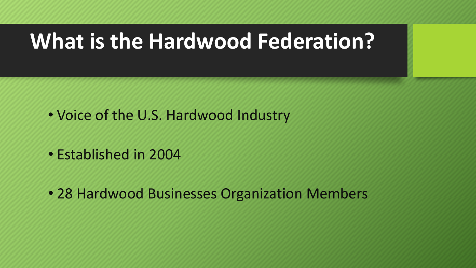# **What is the Hardwood Federation?**

- Voice of the U.S. Hardwood Industry
- Established in 2004
- 28 Hardwood Businesses Organization Members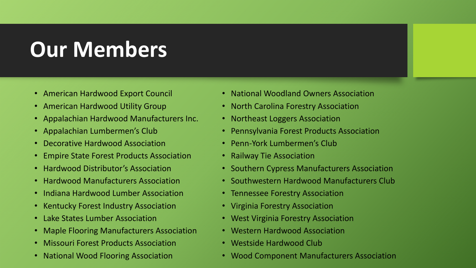# **Our Members**

- American Hardwood Export Council
- American Hardwood Utility Group
- Appalachian Hardwood Manufacturers Inc.
- Appalachian Lumbermen's Club
- Decorative Hardwood Association
- Empire State Forest Products Association
- Hardwood Distributor's Association
- Hardwood Manufacturers Association
- Indiana Hardwood Lumber Association
- Kentucky Forest Industry Association
- Lake States Lumber Association
- Maple Flooring Manufacturers Association
- Missouri Forest Products Association
- National Wood Flooring Association
- National Woodland Owners Association
- North Carolina Forestry Association
- Northeast Loggers Association
- Pennsylvania Forest Products Association
- Penn-York Lumbermen's Club
- Railway Tie Association
- Southern Cypress Manufacturers Association
- Southwestern Hardwood Manufacturers Club
- Tennessee Forestry Association
- Virginia Forestry Association
- West Virginia Forestry Association
- Western Hardwood Association
- Westside Hardwood Club
- Wood Component Manufacturers Association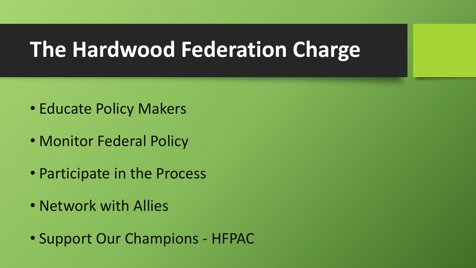## **The Hardwood Federation Charge**

- Educate Policy Makers
- Monitor Federal Policy
- Participate in the Process
- Network with Allies
- Support Our Champions HFPAC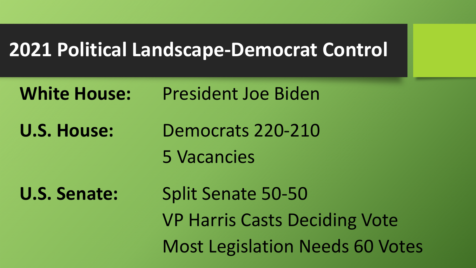#### **2021 Political Landscape-Democrat Control**

**White House:** President Joe Biden

**U.S. House:** Democrats 220-210

5 Vacancies

**U.S. Senate:** Split Senate 50-50 VP Harris Casts Deciding Vote Most Legislation Needs 60 Votes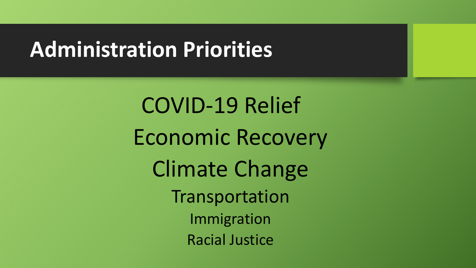### **Administration Priorities**

COVID-19 Relief Economic Recovery Climate Change Transportation Immigration Racial Justice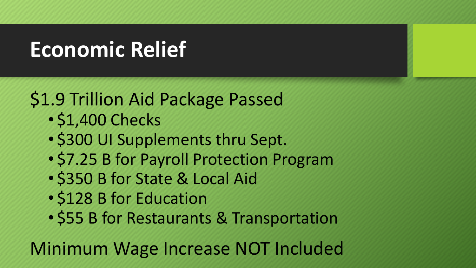# **Economic Relief**

#### \$1.9 Trillion Aid Package Passed

- \$1,400 Checks
- \$300 UI Supplements thru Sept.
- \$7.25 B for Payroll Protection Program
- \$350 B for State & Local Aid
- \$128 B for Education
- \$55 B for Restaurants & Transportation

Minimum Wage Increase NOT Included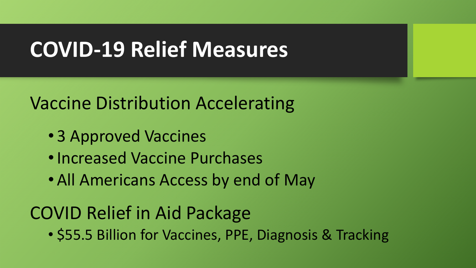# **COVID-19 Relief Measures**

#### Vaccine Distribution Accelerating

- 3 Approved Vaccines
- •Increased Vaccine Purchases
- All Americans Access by end of May

#### COVID Relief in Aid Package

• \$55.5 Billion for Vaccines, PPE, Diagnosis & Tracking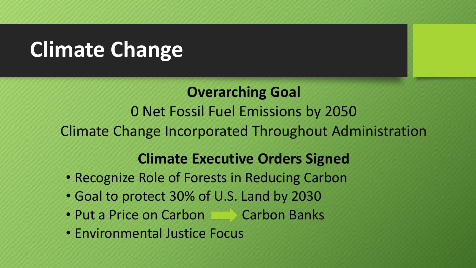## **Climate Change**

#### **Overarching Goal**

0 Net Fossil Fuel Emissions by 2050

Climate Change Incorporated Throughout Administration

#### **Climate Executive Orders Signed**

- Recognize Role of Forests in Reducing Carbon
- Goal to protect 30% of U.S. Land by 2030
- Put a Price on Carbon Carbon Banks
- Environmental Justice Focus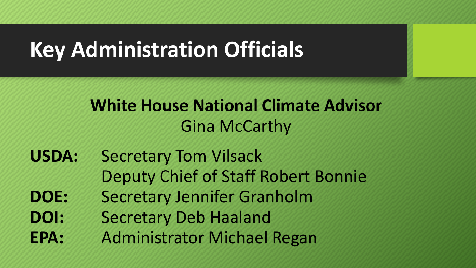# **Key Administration Officials**

#### **White House National Climate Advisor**  Gina McCarthy

- **USDA:** Secretary Tom Vilsack Deputy Chief of Staff Robert Bonnie
- **DOE:** Secretary Jennifer Granholm
- **DOI:** Secretary Deb Haaland
- **EPA:** Administrator Michael Regan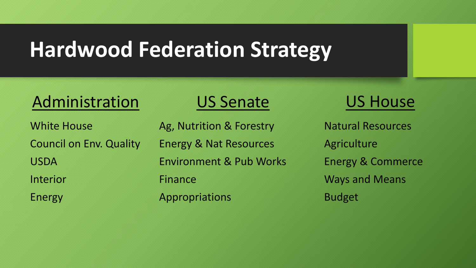# **Hardwood Federation Strategy**

#### Administration

White House Council on Env. Quality USDA Interior

Energy

#### US Senate

Ag, Nutrition & Forestry Energy & Nat Resources Environment & Pub Works Finance Appropriations

#### US House

Natural Resources Agriculture Energy & Commerce Ways and Means Budget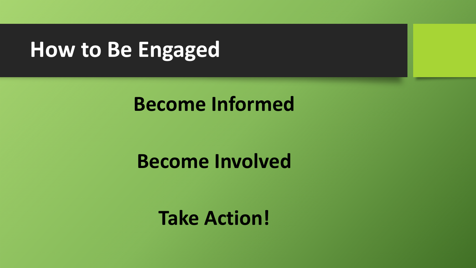## **How to Be Engaged**

#### **Become Informed**

#### **Become Involved**

#### **Take Action!**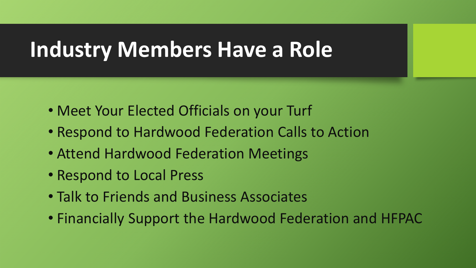## **Industry Members Have a Role**

- Meet Your Elected Officials on your Turf
- Respond to Hardwood Federation Calls to Action
- Attend Hardwood Federation Meetings
- Respond to Local Press
- Talk to Friends and Business Associates
- Financially Support the Hardwood Federation and HFPAC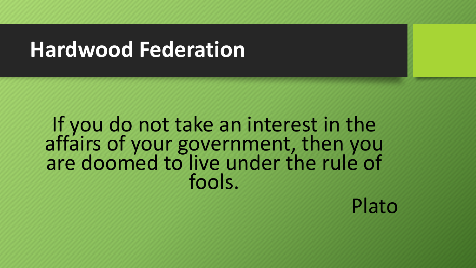## **Hardwood Federation**

If you do not take an interest in the affairs of your government, then you are doomed to live under the rule of fools.

Plato